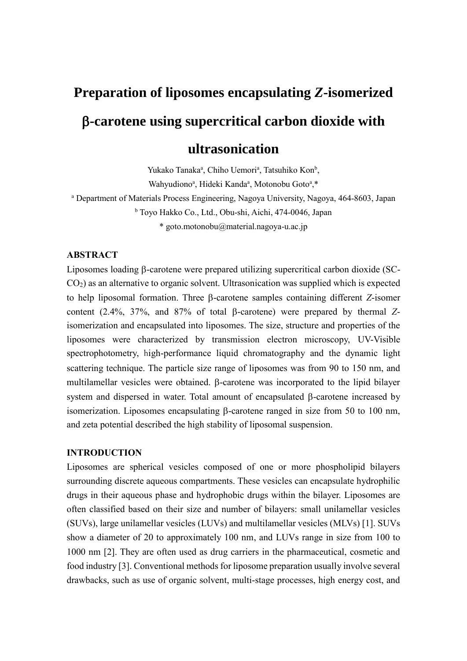# **Preparation of liposomes encapsulating** *Z***-isomerized -carotene using supercritical carbon dioxide with ultrasonication**

Yukako Tanaka<sup>a</sup>, Chiho Uemori<sup>a</sup>, Tatsuhiko Kon<sup>b</sup>, Wahyudiono<sup>a</sup>, Hideki Kanda<sup>a</sup>, Motonobu Goto<sup>a</sup>,\*

<sup>a</sup> Department of Materials Process Engineering, Nagoya University, Nagoya, 464-8603, Japan <sup>b</sup> Toyo Hakko Co., Ltd., Obu-shi, Aichi, 474-0046, Japan \* goto.motonobu@material.nagoya-u.ac.jp

## **ABSTRACT**

Liposomes loading  $\beta$ -carotene were prepared utilizing supercritical carbon dioxide (SC-CO2) as an alternative to organic solvent. Ultrasonication was supplied which is expected to help liposomal formation. Three B-carotene samples containing different *Z*-isomer content (2.4%, 37%, and 87% of total  $\beta$ -carotene) were prepared by thermal *Z*isomerization and encapsulated into liposomes. The size, structure and properties of the liposomes were characterized by transmission electron microscopy, UV-Visible spectrophotometry, high-performance liquid chromatography and the dynamic light scattering technique. The particle size range of liposomes was from 90 to 150 nm, and multilamellar vesicles were obtained. B-carotene was incorporated to the lipid bilayer system and dispersed in water. Total amount of encapsulated  $\beta$ -carotene increased by isomerization. Liposomes encapsulating  $\beta$ -carotene ranged in size from 50 to 100 nm, and zeta potential described the high stability of liposomal suspension.

## **INTRODUCTION**

Liposomes are spherical vesicles composed of one or more phospholipid bilayers surrounding discrete aqueous compartments. These vesicles can encapsulate hydrophilic drugs in their aqueous phase and hydrophobic drugs within the bilayer. Liposomes are often classified based on their size and number of bilayers: small unilamellar vesicles (SUVs), large unilamellar vesicles (LUVs) and multilamellar vesicles (MLVs) [1]. SUVs show a diameter of 20 to approximately 100 nm, and LUVs range in size from 100 to 1000 nm [2]. They are often used as drug carriers in the pharmaceutical, cosmetic and food industry [3]. Conventional methods for liposome preparation usually involve several drawbacks, such as use of organic solvent, multi-stage processes, high energy cost, and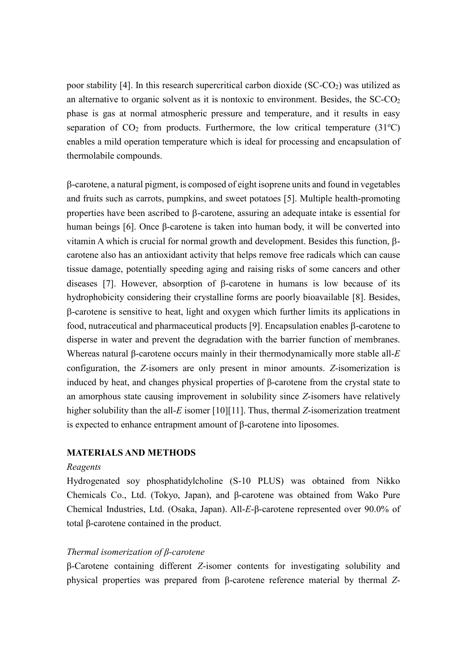poor stability [4]. In this research supercritical carbon dioxide  $(SC-CO<sub>2</sub>)$  was utilized as an alternative to organic solvent as it is nontoxic to environment. Besides, the  $SC\text{-}CO<sub>2</sub>$ phase is gas at normal atmospheric pressure and temperature, and it results in easy separation of  $CO<sub>2</sub>$  from products. Furthermore, the low critical temperature (31<sup>o</sup>C) enables a mild operation temperature which is ideal for processing and encapsulation of thermolabile compounds.

-carotene, a natural pigment, is composed of eight isoprene units and found in vegetables and fruits such as carrots, pumpkins, and sweet potatoes [5]. Multiple health-promoting properties have been ascribed to  $\beta$ -carotene, assuring an adequate intake is essential for human beings [6]. Once β-carotene is taken into human body, it will be converted into vitamin A which is crucial for normal growth and development. Besides this function,  $\beta$ carotene also has an antioxidant activity that helps remove free radicals which can cause tissue damage, potentially speeding aging and raising risks of some cancers and other diseases [7]. However, absorption of  $\beta$ -carotene in humans is low because of its hydrophobicity considering their crystalline forms are poorly bioavailable [8]. Besides, -carotene is sensitive to heat, light and oxygen which further limits its applications in food, nutraceutical and pharmaceutical products [9]. Encapsulation enables  $\beta$ -carotene to disperse in water and prevent the degradation with the barrier function of membranes. Whereas natural β-carotene occurs mainly in their thermodynamically more stable all-*E* configuration, the *Z*-isomers are only present in minor amounts. *Z*-isomerization is induced by heat, and changes physical properties of β-carotene from the crystal state to an amorphous state causing improvement in solubility since *Z*-isomers have relatively higher solubility than the all-*E* isomer [10][11]. Thus, thermal *Z*-isomerization treatment is expected to enhance entrapment amount of β-carotene into liposomes.

## **MATERIALS AND METHODS**

## *Reagents*

Hydrogenated soy phosphatidylcholine (S-10 PLUS) was obtained from Nikko Chemicals Co., Ltd. (Tokyo, Japan), and β-carotene was obtained from Wako Pure Chemical Industries, Ltd. (Osaka, Japan). All-*E*-β-carotene represented over 90.0% of total β-carotene contained in the product.

## *Thermal isomerization of β-carotene*

β-Carotene containing different *Z*-isomer contents for investigating solubility and physical properties was prepared from β-carotene reference material by thermal *Z*-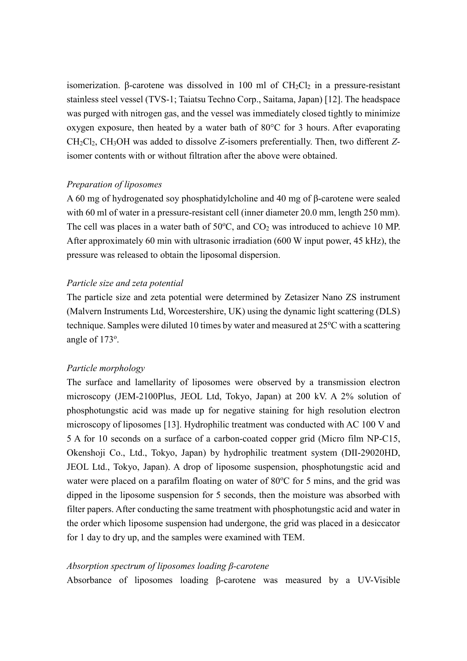isomerization. β-carotene was dissolved in 100 ml of CH<sub>2</sub>Cl<sub>2</sub> in a pressure-resistant stainless steel vessel (TVS-1; Taiatsu Techno Corp., Saitama, Japan) [12]. The headspace was purged with nitrogen gas, and the vessel was immediately closed tightly to minimize oxygen exposure, then heated by a water bath of 80°C for 3 hours. After evaporating CH2Cl2, CH3OH was added to dissolve *Z*-isomers preferentially. Then, two different *Z*isomer contents with or without filtration after the above were obtained.

#### *Preparation of liposomes*

A 60 mg of hydrogenated soy phosphatidylcholine and 40 mg of β-carotene were sealed with 60 ml of water in a pressure-resistant cell (inner diameter 20.0 mm, length 250 mm). The cell was places in a water bath of  $50^{\circ}$ C, and  $CO<sub>2</sub>$  was introduced to achieve 10 MP. After approximately 60 min with ultrasonic irradiation (600 W input power, 45 kHz), the pressure was released to obtain the liposomal dispersion.

#### *Particle size and zeta potential*

The particle size and zeta potential were determined by Zetasizer Nano ZS instrument (Malvern Instruments Ltd, Worcestershire, UK) using the dynamic light scattering (DLS) technique. Samples were diluted 10 times by water and measured at  $25^{\circ}$ C with a scattering angle of 173°.

#### *Particle morphology*

The surface and lamellarity of liposomes were observed by a transmission electron microscopy (JEM-2100Plus, JEOL Ltd, Tokyo, Japan) at 200 kV. A 2% solution of phosphotungstic acid was made up for negative staining for high resolution electron microscopy of liposomes [13]. Hydrophilic treatment was conducted with AC 100 V and 5 A for 10 seconds on a surface of a carbon-coated copper grid (Micro film NP-C15, Okenshoji Co., Ltd., Tokyo, Japan) by hydrophilic treatment system (DⅡ-29020HD, JEOL Ltd., Tokyo, Japan). A drop of liposome suspension, phosphotungstic acid and water were placed on a parafilm floating on water of  $80^{\circ}$ C for 5 mins, and the grid was dipped in the liposome suspension for 5 seconds, then the moisture was absorbed with filter papers. After conducting the same treatment with phosphotungstic acid and water in the order which liposome suspension had undergone, the grid was placed in a desiccator for 1 day to dry up, and the samples were examined with TEM.

#### *Absorption spectrum of liposomes loading β-carotene*

Absorbance of liposomes loading β-carotene was measured by a UV-Visible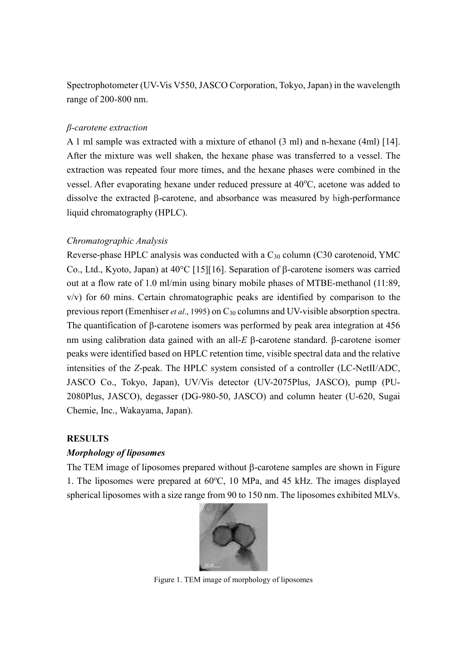Spectrophotometer (UV-Vis V550, JASCO Corporation, Tokyo, Japan) in the wavelength range of 200-800 nm.

#### *β-carotene extraction*

A 1 ml sample was extracted with a mixture of ethanol (3 ml) and n-hexane (4ml) [14]. After the mixture was well shaken, the hexane phase was transferred to a vessel. The extraction was repeated four more times, and the hexane phases were combined in the vessel. After evaporating hexane under reduced pressure at  $40^{\circ}$ C, acetone was added to dissolve the extracted  $\beta$ -carotene, and absorbance was measured by high-performance liquid chromatography (HPLC).

#### *Chromatographic Analysis*

Reverse-phase HPLC analysis was conducted with a C<sup>30</sup> column (C30 carotenoid, YMC Co., Ltd., Kyoto, Japan) at  $40^{\circ}$ C [15][16]. Separation of  $\beta$ -carotene isomers was carried out at a flow rate of 1.0 ml/min using binary mobile phases of MTBE-methanol (11:89, v/v) for 60 mins. Certain chromatographic peaks are identified by comparison to the previous report (Emenhiser *et al*., 1995) on C<sup>30</sup> columns and UV-visible absorption spectra. The quantification of β-carotene isomers was performed by peak area integration at 456 nm using calibration data gained with an all- $E$   $\beta$ -carotene standard.  $\beta$ -carotene isomer peaks were identified based on HPLC retention time, visible spectral data and the relative intensities of the *Z*-peak. The HPLC system consisted of a controller (LC-NetⅡ/ADC, JASCO Co., Tokyo, Japan), UV/Vis detector (UV-2075Plus, JASCO), pump (PU-2080Plus, JASCO), degasser (DG-980-50, JASCO) and column heater (U-620, Sugai Chemie, Inc., Wakayama, Japan).

#### **RESULTS**

## *Morphology of liposomes*

The TEM image of liposomes prepared without  $\beta$ -carotene samples are shown in Figure 1. The liposomes were prepared at  $60^{\circ}$ C, 10 MPa, and 45 kHz. The images displayed spherical liposomes with a size range from 90 to 150 nm. The liposomes exhibited MLVs.



Figure 1. TEM image of morphology of liposomes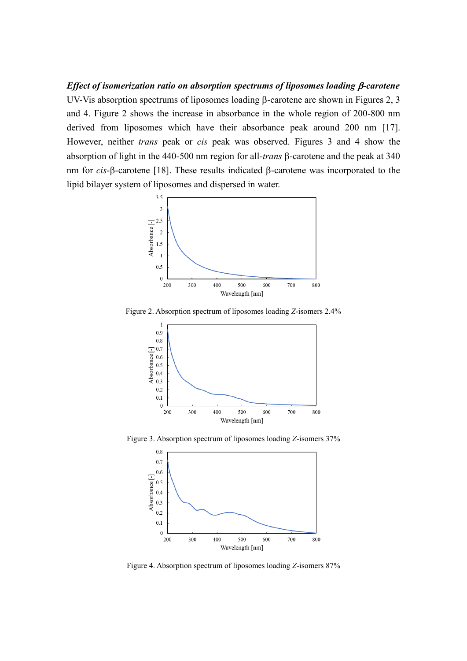*Effect of isomerization ratio on absorption spectrums of liposomes loading*  $\beta$ *-carotene* UV-Vis absorption spectrums of liposomes loading  $\beta$ -carotene are shown in Figures 2, 3 and 4. Figure 2 shows the increase in absorbance in the whole region of 200-800 nm derived from liposomes which have their absorbance peak around 200 nm [17]. However, neither *trans* peak or *cis* peak was observed. Figures 3 and 4 show the absorption of light in the 440-500 nm region for all-*trans*  $\beta$ -carotene and the peak at 340 nm for  $cis$ - $\beta$ -carotene [18]. These results indicated  $\beta$ -carotene was incorporated to the lipid bilayer system of liposomes and dispersed in water.



Figure 2. Absorption spectrum of liposomes loading *Z*-isomers 2.4%



Figure 3. Absorption spectrum of liposomes loading *Z*-isomers 37%



Figure 4. Absorption spectrum of liposomes loading *Z*-isomers 87%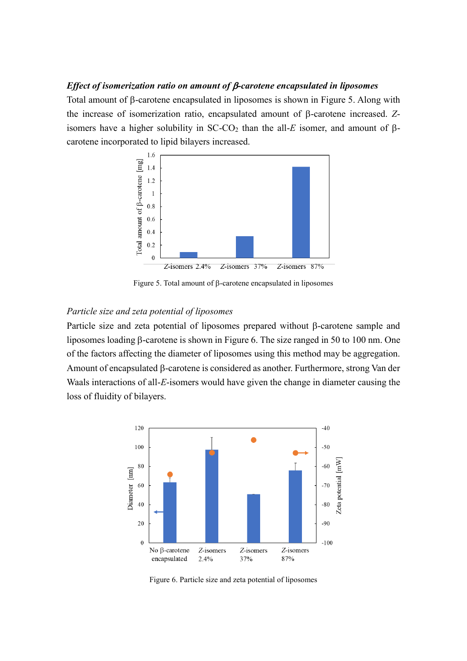#### *Effect of isomerization ratio on amount of*  $\beta$ *-carotene encapsulated in liposomes*

Total amount of  $\beta$ -carotene encapsulated in liposomes is shown in Figure 5. Along with the increase of isomerization ratio, encapsulated amount of  $\beta$ -carotene increased.  $Z$ isomers have a higher solubility in  $SC-CO<sub>2</sub>$  than the all-E isomer, and amount of  $\beta$ carotene incorporated to lipid bilayers increased.



Figure 5. Total amount of  $\beta$ -carotene encapsulated in liposomes

## *Particle size and zeta potential of liposomes*

Particle size and zeta potential of liposomes prepared without  $\beta$ -carotene sample and liposomes loading  $\beta$ -carotene is shown in Figure 6. The size ranged in 50 to 100 nm. One of the factors affecting the diameter of liposomes using this method may be aggregation. Amount of encapsulated  $\beta$ -carotene is considered as another. Furthermore, strong Van der Waals interactions of all-*E*-isomers would have given the change in diameter causing the loss of fluidity of bilayers.



Figure 6. Particle size and zeta potential of liposomes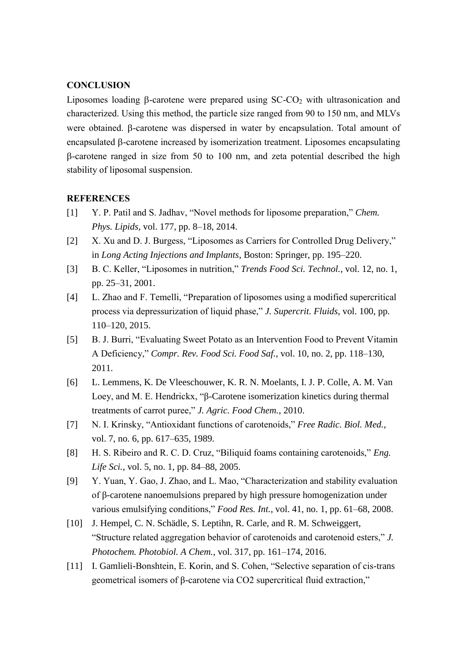### **CONCLUSION**

Liposomes loading  $\beta$ -carotene were prepared using SC-CO<sub>2</sub> with ultrasonication and characterized. Using this method, the particle size ranged from 90 to 150 nm, and MLVs were obtained.  $\beta$ -carotene was dispersed in water by encapsulation. Total amount of encapsulated  $\beta$ -carotene increased by isomerization treatment. Liposomes encapsulating  $\beta$ -carotene ranged in size from 50 to 100 nm, and zeta potential described the high stability of liposomal suspension.

#### **REFERENCES**

- [1] Y. P. Patil and S. Jadhav, "Novel methods for liposome preparation," *Chem. Phys. Lipids*, vol. 177, pp. 8–18, 2014.
- [2] X. Xu and D. J. Burgess, "Liposomes as Carriers for Controlled Drug Delivery," in *Long Acting Injections and Implants*, Boston: Springer, pp. 195–220.
- [3] B. C. Keller, "Liposomes in nutrition," *Trends Food Sci. Technol.*, vol. 12, no. 1, pp. 25–31, 2001.
- [4] L. Zhao and F. Temelli, "Preparation of liposomes using a modified supercritical process via depressurization of liquid phase," *J. Supercrit. Fluids*, vol. 100, pp. 110–120, 2015.
- [5] B. J. Burri, "Evaluating Sweet Potato as an Intervention Food to Prevent Vitamin A Deficiency," *Compr. Rev. Food Sci. Food Saf.*, vol. 10, no. 2, pp. 118–130, 2011.
- [6] L. Lemmens, K. De Vleeschouwer, K. R. N. Moelants, I. J. P. Colle, A. M. Van Loey, and M. E. Hendrickx, "β-Carotene isomerization kinetics during thermal treatments of carrot puree," *J. Agric. Food Chem.*, 2010.
- [7] N. I. Krinsky, "Antioxidant functions of carotenoids," *Free Radic. Biol. Med.*, vol. 7, no. 6, pp. 617–635, 1989.
- [8] H. S. Ribeiro and R. C. D. Cruz, "Biliquid foams containing carotenoids," *Eng. Life Sci.*, vol. 5, no. 1, pp. 84–88, 2005.
- [9] Y. Yuan, Y. Gao, J. Zhao, and L. Mao, "Characterization and stability evaluation of β-carotene nanoemulsions prepared by high pressure homogenization under various emulsifying conditions," *Food Res. Int.*, vol. 41, no. 1, pp. 61–68, 2008.
- [10] J. Hempel, C. N. Schädle, S. Leptihn, R. Carle, and R. M. Schweiggert, "Structure related aggregation behavior of carotenoids and carotenoid esters," *J. Photochem. Photobiol. A Chem.*, vol. 317, pp. 161–174, 2016.
- [11] I. Gamlieli-Bonshtein, E. Korin, and S. Cohen, "Selective separation of cis-trans geometrical isomers of β-carotene via CO2 supercritical fluid extraction,"